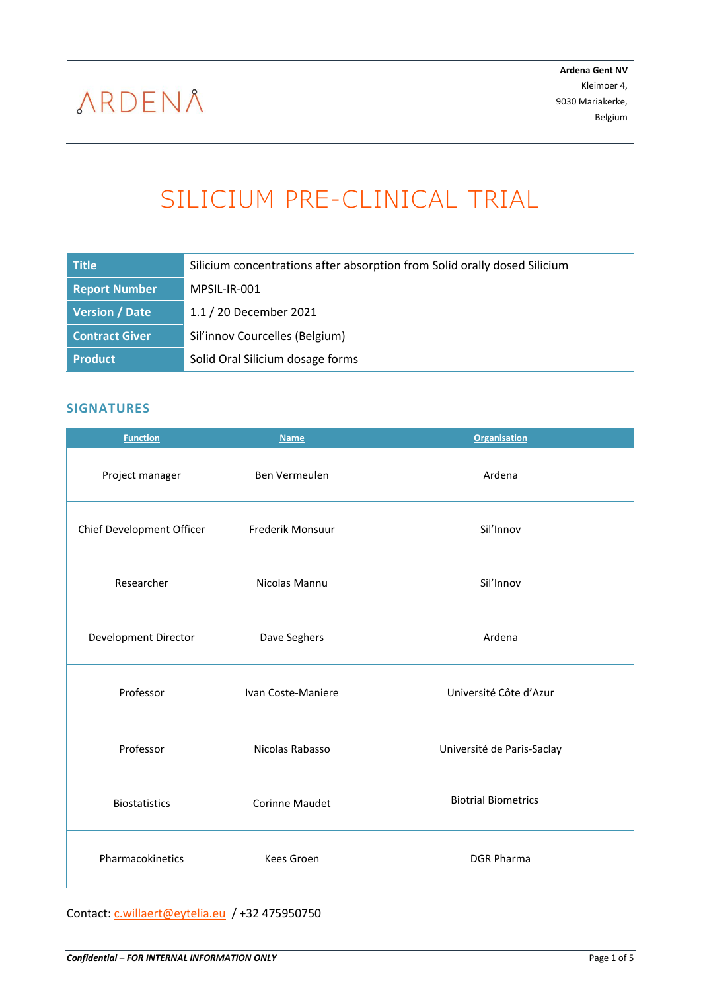# SILICIUM PRE-CLINICAL TRIAL

<span id="page-0-0"></span>

| <b>Title</b>          | Silicium concentrations after absorption from Solid orally dosed Silicium |
|-----------------------|---------------------------------------------------------------------------|
| <b>Report Number</b>  | MPSIL-IR-001                                                              |
| <b>Version / Date</b> | 1.1 / 20 December 2021                                                    |
| <b>Contract Giver</b> | Sil'innov Courcelles (Belgium)                                            |
| <b>Product</b>        | Solid Oral Silicium dosage forms                                          |

### <span id="page-0-1"></span>**SIGNATURES**

| <b>Function</b>           | <b>Name</b>                   | <b>Organisation</b>        |
|---------------------------|-------------------------------|----------------------------|
| Project manager           | Ben Vermeulen<br>Ardena       |                            |
| Chief Development Officer | Sil'Innov<br>Frederik Monsuur |                            |
| Researcher                | Nicolas Mannu                 | Sil'Innov                  |
| Development Director      | Dave Seghers                  | Ardena                     |
| Professor                 | Ivan Coste-Maniere            | Université Côte d'Azur     |
| Professor                 | Nicolas Rabasso               | Université de Paris-Saclay |
| <b>Biostatistics</b>      | <b>Corinne Maudet</b>         | <b>Biotrial Biometrics</b> |
| Pharmacokinetics          | <b>Kees Groen</b>             | <b>DGR Pharma</b>          |

Contact: [c.willaert@eytelia.eu](mailto:c.willaert@eytelia.eu) / +32 475950750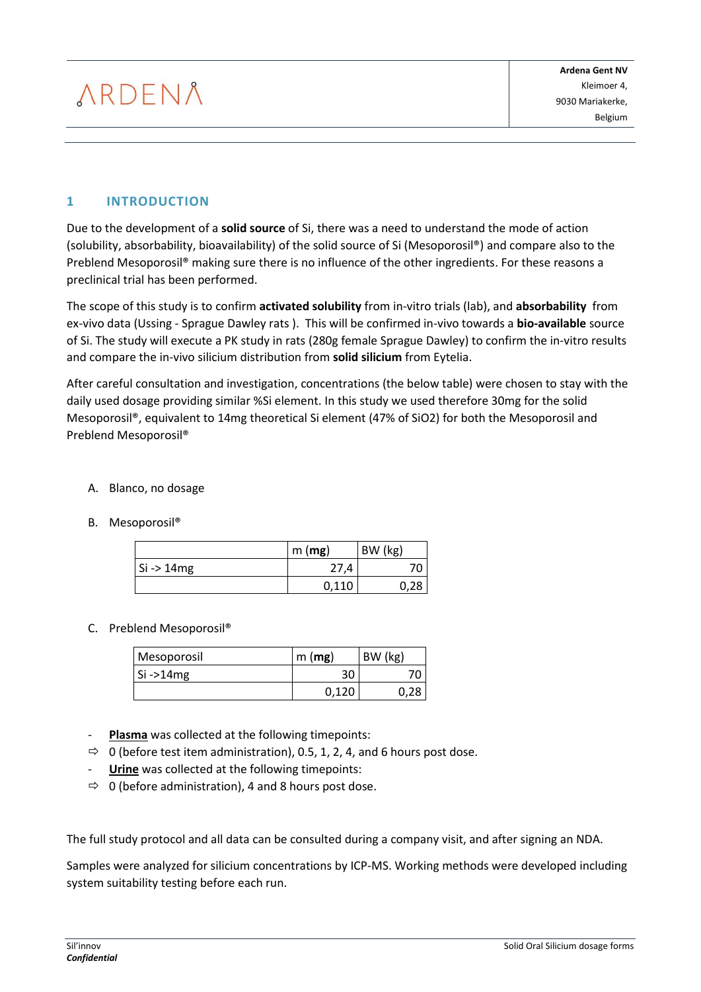# **1 INTRODUCTION**

Due to the development of a **solid source** of Si, there was a need to understand the mode of action (solubility, absorbability, bioavailability) of the solid source of Si (Mesoporosil®) and compare also to the Preblend Mesoporosil® making sure there is no influence of the other ingredients. For these reasons a preclinical trial has been performed.

The scope of this study is to confirm **activated solubility** from in-vitro trials (lab), and **absorbability** from ex-vivo data (Ussing - Sprague Dawley rats ). This will be confirmed in-vivo towards a **bio-available** source of Si. The study will execute a PK study in rats (280g female Sprague Dawley) to confirm the in-vitro results and compare the in-vivo silicium distribution from **solid silicium** from Eytelia.

After careful consultation and investigation, concentrations (the below table) were chosen to stay with the daily used dosage providing similar %Si element. In this study we used therefore 30mg for the solid Mesoporosil®, equivalent to 14mg theoretical Si element (47% of SiO2) for both the Mesoporosil and Preblend Mesoporosil®

### A. Blanco, no dosage

B. Mesoporosil®

|                       | m(mg) | BW (kg) |
|-----------------------|-------|---------|
| $Si \rightarrow 14mg$ |       |         |
|                       | 0,110 |         |

### C. Preblend Mesoporosil®

| Mesoporosil | m(mg) | BW (kg) |
|-------------|-------|---------|
| $Si - 14mg$ | 30    |         |
|             | በ 17በ |         |

- Plasma was collected at the following timepoints:
- $\Rightarrow$  0 (before test item administration), 0.5, 1, 2, 4, and 6 hours post dose.
- **Urine** was collected at the following timepoints:
- $\Rightarrow$  0 (before administration), 4 and 8 hours post dose.

The full study protocol and all data can be consulted during a company visit, and after signing an NDA.

Samples were analyzed for silicium concentrations by ICP-MS. Working methods were developed including system suitability testing before each run.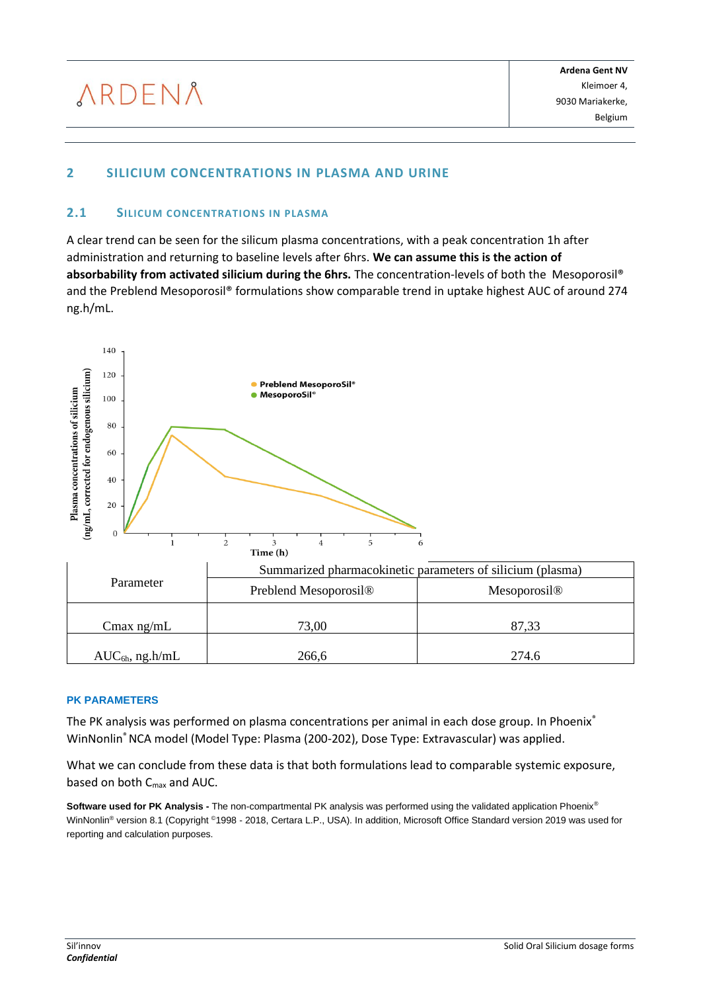# **2 SILICIUM CONCENTRATIONS IN PLASMA AND URINE**

#### **2.1 SILICUM CONCENTRATIONS IN PLASMA**

A clear trend can be seen for the silicum plasma concentrations, with a peak concentration 1h after administration and returning to baseline levels after 6hrs. **We can assume this is the action of absorbability from activated silicium during the 6hrs.** The concentration-levels of both the Mesoporosil® and the Preblend Mesoporosil® formulations show comparable trend in uptake highest AUC of around 274 ng.h/mL.



| Parameter            | Summarized pharmacokinetic parameters of silicium (plasma) |                          |  |
|----------------------|------------------------------------------------------------|--------------------------|--|
|                      | Preblend Mesoporosil <sup>®</sup>                          | Mesoporosil <sup>®</sup> |  |
| Cmax $ng/mL$         | 73,00                                                      | 87.33                    |  |
| $AUC_{6h}$ , ng.h/mL | 266,6                                                      | 274.6                    |  |

#### **PK PARAMETERS**

The PK analysis was performed on plasma concentrations per animal in each dose group. In Phoenix® WinNonlin® NCA model (Model Type: Plasma (200-202), Dose Type: Extravascular) was applied.

What we can conclude from these data is that both formulations lead to comparable systemic exposure, based on both C<sub>max</sub> and AUC.

**Software used for PK Analysis -** The non-compartmental PK analysis was performed using the validated application Phoenix® WinNonlin® version 8.1 (Copyright ©1998 - 2018, Certara L.P., USA). In addition, Microsoft Office Standard version 2019 was used for reporting and calculation purposes.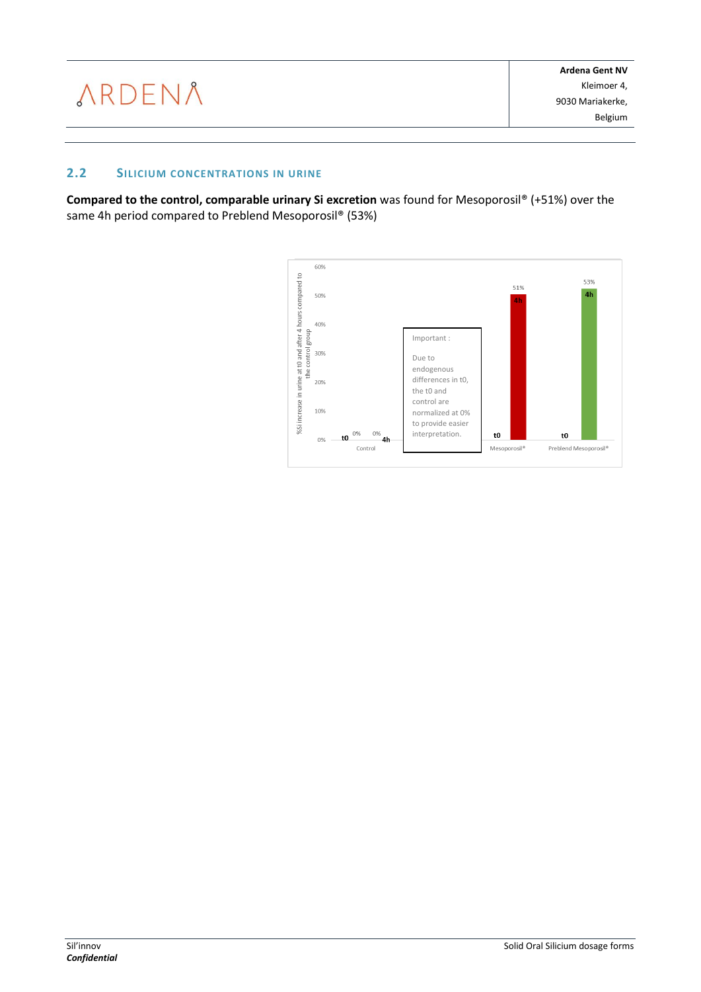### **2.2 SILICIUM CONCENTRATIONS IN URINE**

**Compared to the control, comparable urinary Si excretion** was found for Mesoporosil® (+51%) over the same 4h period compared to Preblend Mesoporosil® (53%)

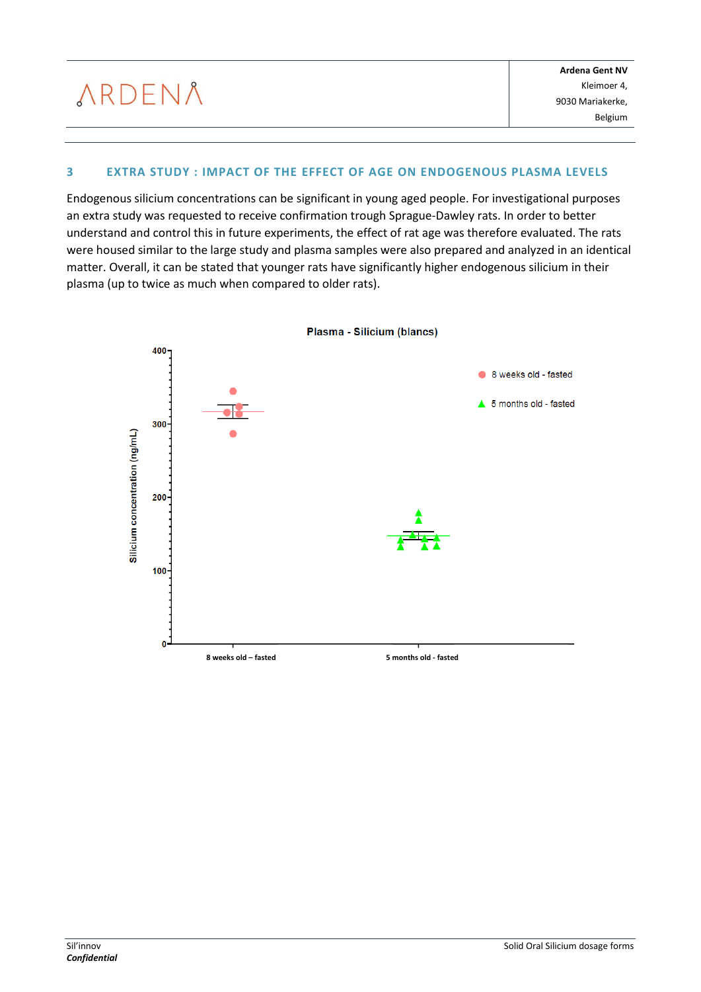## **3 EXTRA STUDY : IMPACT OF THE EFFECT OF AGE ON ENDOGENOUS PLASMA LEVELS**

Endogenous silicium concentrations can be significant in young aged people. For investigational purposes an extra study was requested to receive confirmation trough Sprague-Dawley rats. In order to better understand and control this in future experiments, the effect of rat age was therefore evaluated. The rats were housed similar to the large study and plasma samples were also prepared and analyzed in an identical matter. Overall, it can be stated that younger rats have significantly higher endogenous silicium in their plasma (up to twice as much when compared to older rats).